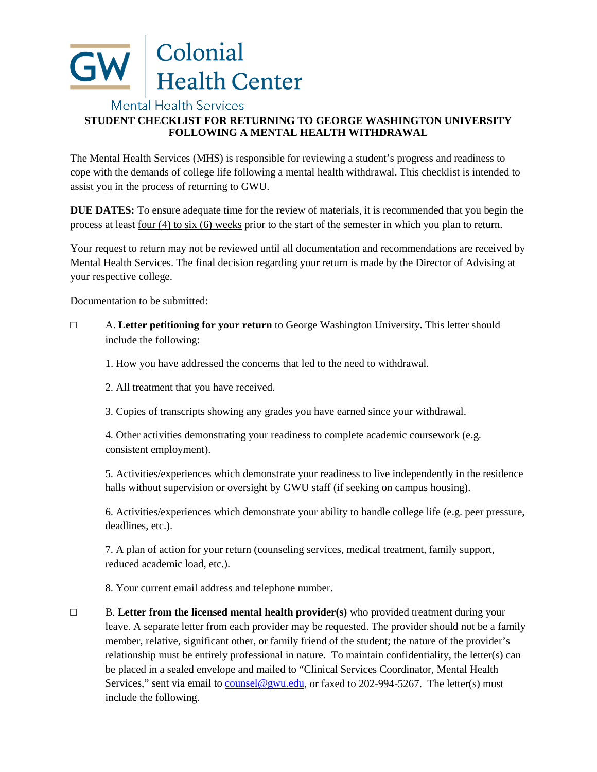

## **Mental Health Services STUDENT CHECKLIST FOR RETURNING TO GEORGE WASHINGTON UNIVERSITY FOLLOWING A MENTAL HEALTH WITHDRAWAL**

The Mental Health Services (MHS) is responsible for reviewing a student's progress and readiness to cope with the demands of college life following a mental health withdrawal. This checklist is intended to assist you in the process of returning to GWU.

**DUE DATES:** To ensure adequate time for the review of materials, it is recommended that you begin the process at least four (4) to six (6) weeks prior to the start of the semester in which you plan to return.

Your request to return may not be reviewed until all documentation and recommendations are received by Mental Health Services. The final decision regarding your return is made by the Director of Advising at your respective college.

Documentation to be submitted:

□ A. **Letter petitioning for your return** to George Washington University. This letter should include the following:

1. How you have addressed the concerns that led to the need to withdrawal.

2. All treatment that you have received.

3. Copies of transcripts showing any grades you have earned since your withdrawal.

4. Other activities demonstrating your readiness to complete academic coursework (e.g. consistent employment).

5. Activities/experiences which demonstrate your readiness to live independently in the residence halls without supervision or oversight by GWU staff (if seeking on campus housing).

6. Activities/experiences which demonstrate your ability to handle college life (e.g. peer pressure, deadlines, etc.).

7. A plan of action for your return (counseling services, medical treatment, family support, reduced academic load, etc.).

8. Your current email address and telephone number.

□ B. **Letter from the licensed mental health provider(s)** who provided treatment during your leave. A separate letter from each provider may be requested. The provider should not be a family member, relative, significant other, or family friend of the student; the nature of the provider's relationship must be entirely professional in nature. To maintain confidentiality, the letter(s) can be placed in a sealed envelope and mailed to "Clinical Services Coordinator, Mental Health Services," sent via email to counsel@gwu.edu, or faxed to 202-994-5267. The letter(s) must include the following.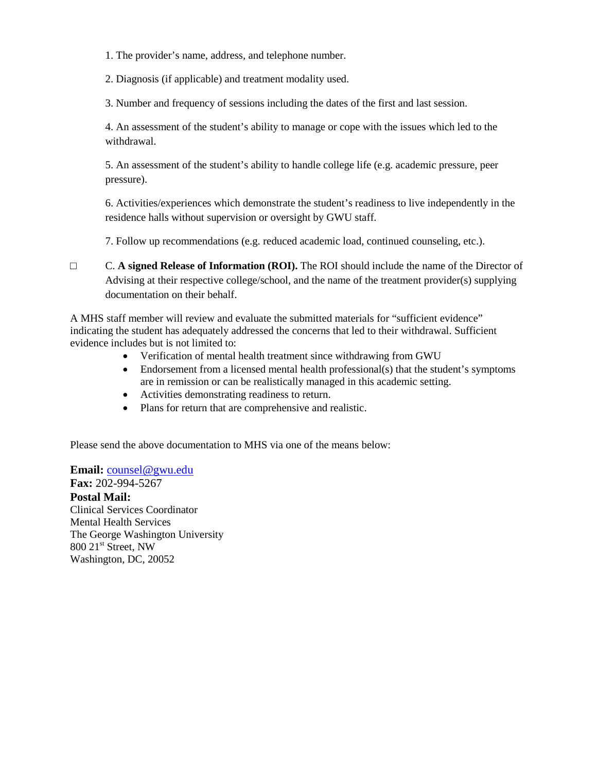1. The provider's name, address, and telephone number.

2. Diagnosis (if applicable) and treatment modality used.

3. Number and frequency of sessions including the dates of the first and last session.

4. An assessment of the student's ability to manage or cope with the issues which led to the withdrawal.

5. An assessment of the student's ability to handle college life (e.g. academic pressure, peer pressure).

6. Activities/experiences which demonstrate the student's readiness to live independently in the residence halls without supervision or oversight by GWU staff.

7. Follow up recommendations (e.g. reduced academic load, continued counseling, etc.).

□ C. **A signed Release of Information (ROI).** The ROI should include the name of the Director of Advising at their respective college/school, and the name of the treatment provider(s) supplying documentation on their behalf.

A MHS staff member will review and evaluate the submitted materials for "sufficient evidence" indicating the student has adequately addressed the concerns that led to their withdrawal. Sufficient evidence includes but is not limited to:

- Verification of mental health treatment since withdrawing from GWU
- Endorsement from a licensed mental health professional(s) that the student's symptoms are in remission or can be realistically managed in this academic setting.
- Activities demonstrating readiness to return.
- Plans for return that are comprehensive and realistic.

Please send the above documentation to MHS via one of the means below:

**Email:** counsel@gwu.edu

**Fax:** 202-994-5267 **Postal Mail:** Clinical Services Coordinator Mental Health Services The George Washington University 800 21<sup>st</sup> Street, NW Washington, DC, 20052